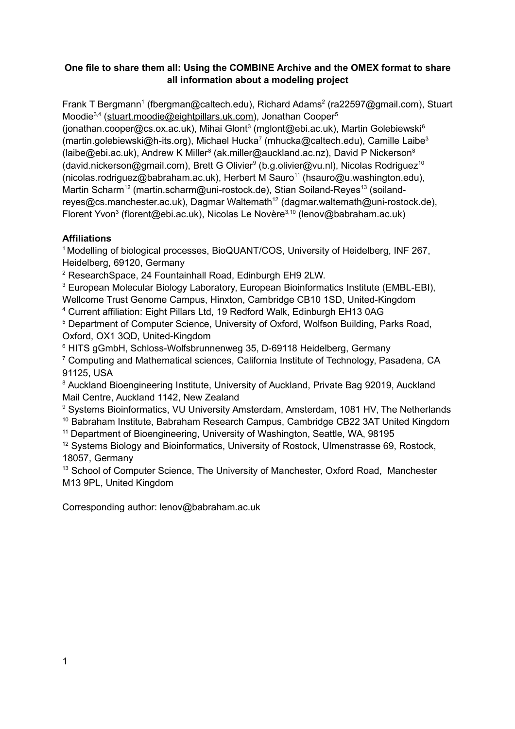# **One file to share them all: Using the COMBINE Archive and the OMEX format to share all information about a modeling project**

Frank T Bergmann<sup>1</sup> (fbergman@caltech.edu), Richard Adams<sup>2</sup> (ra22597@gmail.com), Stuart Moodie<sup>3,4</sup> [\(stuart.moodie@eightpillars.uk.com\)](mailto:stuart.moodie@eightpillars.uk.com), Jonathan Cooper<sup>5</sup>

(jonathan.cooper@cs.ox.ac.uk), Mihai Glont<sup>3</sup> (mglont@ebi.ac.uk), Martin Golebiewski<sup>6</sup> (martin.golebiewski@h-its.org), Michael Hucka<sup>7</sup> (mhucka@caltech.edu), Camille Laibe<sup>3</sup> (laibe@ebi.ac.uk), Andrew K Miller<sup>8</sup> (ak.miller@auckland.ac.nz), David P Nickerson<sup>8</sup> (david.nickerson@gmail.com), Brett G Olivier<sup>9</sup> (b.g.olivier@vu.nl), Nicolas Rodriguez<sup>10</sup> (nicolas.rodriguez@babraham.ac.uk), Herbert M Sauro<sup>11</sup> (hsauro@u.washington.edu), Martin Scharm<sup>12</sup> (martin.scharm@uni-rostock.de), Stian Soiland-Reyes<sup>13</sup> (soilandreyes@cs.manchester.ac.uk), Dagmar Waltemath<sup>12</sup> (dagmar.waltemath@uni-rostock.de), Florent Yvon<sup>3</sup> (florent@ebi.ac.uk), Nicolas Le Novère<sup>3,10</sup> (lenov@babraham.ac.uk)

# **Affiliations**

<sup>1</sup> Modelling of biological processes, BioQUANT/COS, University of Heidelberg, INF 267, Heidelberg, 69120, Germany

2 ResearchSpace, 24 Fountainhall Road, Edinburgh EH9 2LW.

<sup>3</sup> European Molecular Biology Laboratory, European Bioinformatics Institute (EMBL-EBI), Wellcome Trust Genome Campus, Hinxton, Cambridge CB10 1SD, United-Kingdom

4 Current affiliation: Eight Pillars Ltd, 19 Redford Walk, Edinburgh EH13 0AG

<sup>5</sup> Department of Computer Science, University of Oxford, Wolfson Building, Parks Road, Oxford, OX1 3QD, United-Kingdom

6 HITS gGmbH, Schloss-Wolfsbrunnenweg 35, D-69118 Heidelberg, Germany

<sup>7</sup> Computing and Mathematical sciences, California Institute of Technology, Pasadena, CA 91125, USA

<sup>8</sup> Auckland Bioengineering Institute, University of Auckland, Private Bag 92019, Auckland Mail Centre, Auckland 1142, New Zealand

<sup>9</sup> Systems Bioinformatics, VU University Amsterdam, Amsterdam, 1081 HV, The Netherlands

<sup>10</sup> Babraham Institute, Babraham Research Campus, Cambridge CB22 3AT United Kingdom

<sup>11</sup> Department of Bioengineering, University of Washington, Seattle, WA, 98195

<sup>12</sup> Systems Biology and Bioinformatics, University of Rostock, Ulmenstrasse 69, Rostock, 18057, Germany

<sup>13</sup> School of Computer Science, The University of Manchester, Oxford Road, Manchester M13 9PL, United Kingdom

Corresponding author: lenov@babraham.ac.uk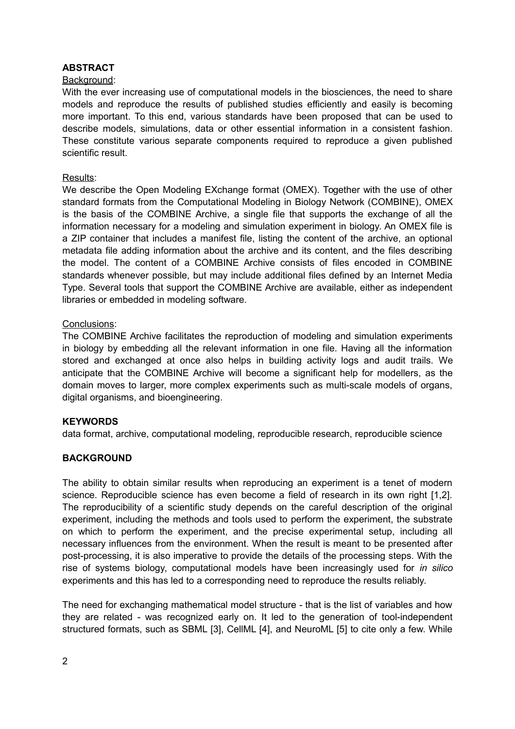# **ABSTRACT**

#### Background:

With the ever increasing use of computational models in the biosciences, the need to share models and reproduce the results of published studies efficiently and easily is becoming more important. To this end, various standards have been proposed that can be used to describe models, simulations, data or other essential information in a consistent fashion. These constitute various separate components required to reproduce a given published scientific result.

#### Results:

We describe the Open Modeling EXchange format (OMEX). Together with the use of other standard formats from the Computational Modeling in Biology Network (COMBINE), OMEX is the basis of the COMBINE Archive, a single file that supports the exchange of all the information necessary for a modeling and simulation experiment in biology. An OMEX file is a ZIP container that includes a manifest file, listing the content of the archive, an optional metadata file adding information about the archive and its content, and the files describing the model. The content of a COMBINE Archive consists of files encoded in COMBINE standards whenever possible, but may include additional files defined by an Internet Media Type. Several tools that support the COMBINE Archive are available, either as independent libraries or embedded in modeling software.

### Conclusions:

The COMBINE Archive facilitates the reproduction of modeling and simulation experiments in biology by embedding all the relevant information in one file. Having all the information stored and exchanged at once also helps in building activity logs and audit trails. We anticipate that the COMBINE Archive will become a significant help for modellers, as the domain moves to larger, more complex experiments such as multi-scale models of organs, digital organisms, and bioengineering.

### **KEYWORDS**

data format, archive, computational modeling, reproducible research, reproducible science

### **BACKGROUND**

The ability to obtain similar results when reproducing an experiment is a tenet of modern science. Reproducible science has even become a field of research in its own right [1,2]. The reproducibility of a scientific study depends on the careful description of the original experiment, including the methods and tools used to perform the experiment, the substrate on which to perform the experiment, and the precise experimental setup, including all necessary influences from the environment. When the result is meant to be presented after post-processing, it is also imperative to provide the details of the processing steps. With the rise of systems biology, computational models have been increasingly used for *in silico* experiments and this has led to a corresponding need to reproduce the results reliably.

The need for exchanging mathematical model structure - that is the list of variables and how they are related - was recognized early on. It led to the generation of tool-independent structured formats, such as SBML [3], CellML [4], and NeuroML [5] to cite only a few. While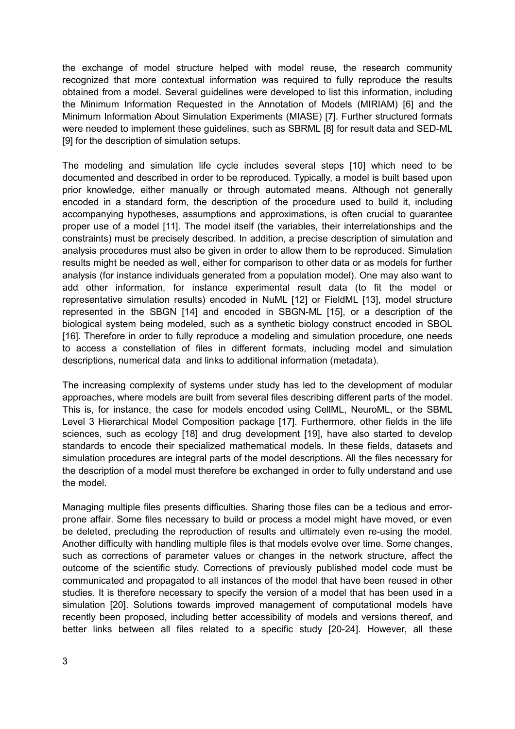the exchange of model structure helped with model reuse, the research community recognized that more contextual information was required to fully reproduce the results obtained from a model. Several guidelines were developed to list this information, including the Minimum Information Requested in the Annotation of Models (MIRIAM) [6] and the Minimum Information About Simulation Experiments (MIASE) [7]. Further structured formats were needed to implement these guidelines, such as SBRML [8] for result data and SED-ML [9] for the description of simulation setups.

The modeling and simulation life cycle includes several steps [10] which need to be documented and described in order to be reproduced. Typically, a model is built based upon prior knowledge, either manually or through automated means. Although not generally encoded in a standard form, the description of the procedure used to build it, including accompanying hypotheses, assumptions and approximations, is often crucial to guarantee proper use of a model [11]. The model itself (the variables, their interrelationships and the constraints) must be precisely described. In addition, a precise description of simulation and analysis procedures must also be given in order to allow them to be reproduced. Simulation results might be needed as well, either for comparison to other data or as models for further analysis (for instance individuals generated from a population model). One may also want to add other information, for instance experimental result data (to fit the model or representative simulation results) encoded in NuML [12] or FieldML [13], model structure represented in the SBGN [14] and encoded in SBGN-ML [15], or a description of the biological system being modeled, such as a synthetic biology construct encoded in SBOL [16]. Therefore in order to fully reproduce a modeling and simulation procedure, one needs to access a constellation of files in different formats, including model and simulation descriptions, numerical data and links to additional information (metadata).

The increasing complexity of systems under study has led to the development of modular approaches, where models are built from several files describing different parts of the model. This is, for instance, the case for models encoded using CellML, NeuroML, or the SBML Level 3 Hierarchical Model Composition package [17]. Furthermore, other fields in the life sciences, such as ecology [18] and drug development [19], have also started to develop standards to encode their specialized mathematical models. In these fields, datasets and simulation procedures are integral parts of the model descriptions. All the files necessary for the description of a model must therefore be exchanged in order to fully understand and use the model.

Managing multiple files presents difficulties. Sharing those files can be a tedious and errorprone affair. Some files necessary to build or process a model might have moved, or even be deleted, precluding the reproduction of results and ultimately even re-using the model. Another difficulty with handling multiple files is that models evolve over time. Some changes, such as corrections of parameter values or changes in the network structure, affect the outcome of the scientific study. Corrections of previously published model code must be communicated and propagated to all instances of the model that have been reused in other studies. It is therefore necessary to specify the version of a model that has been used in a simulation [20]. Solutions towards improved management of computational models have recently been proposed, including better accessibility of models and versions thereof, and better links between all files related to a specific study [20-24]. However, all these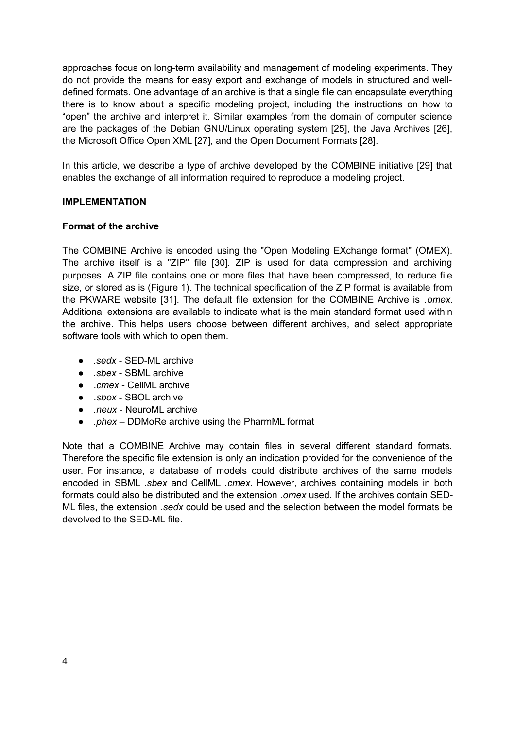approaches focus on long-term availability and management of modeling experiments. They do not provide the means for easy export and exchange of models in structured and welldefined formats. One advantage of an archive is that a single file can encapsulate everything there is to know about a specific modeling project, including the instructions on how to "open" the archive and interpret it. Similar examples from the domain of computer science are the packages of the Debian GNU/Linux operating system [25], the Java Archives [26], the Microsoft Office Open XML [27], and the Open Document Formats [28].

In this article, we describe a type of archive developed by the COMBINE initiative [29] that enables the exchange of all information required to reproduce a modeling project.

#### **IMPLEMENTATION**

#### **Format of the archive**

The COMBINE Archive is encoded using the "Open Modeling EXchange format" (OMEX). The archive itself is a "ZIP" file [30]. ZIP is used for data compression and archiving purposes. A ZIP file contains one or more files that have been compressed, to reduce file size, or stored as is (Figure 1). The technical specification of the ZIP format is available from the PKWARE website [31]. The default file extension for the COMBINE Archive is *.omex*. Additional extensions are available to indicate what is the main standard format used within the archive. This helps users choose between different archives, and select appropriate software tools with which to open them.

- *.sedx* SED-ML archive
- *.sbex* SBML archive
- .*cmex*  CellML archive
- .*sbox* SBOL archive
- *.neux* NeuroML archive
- *.phex* DDMoRe archive using the PharmML format

Note that a COMBINE Archive may contain files in several different standard formats. Therefore the specific file extension is only an indication provided for the convenience of the user. For instance, a database of models could distribute archives of the same models encoded in SBML *.sbex* and CellML *.cmex*. However, archives containing models in both formats could also be distributed and the extension *.omex* used. If the archives contain SED-ML files, the extension *.sedx* could be used and the selection between the model formats be devolved to the SED-ML file.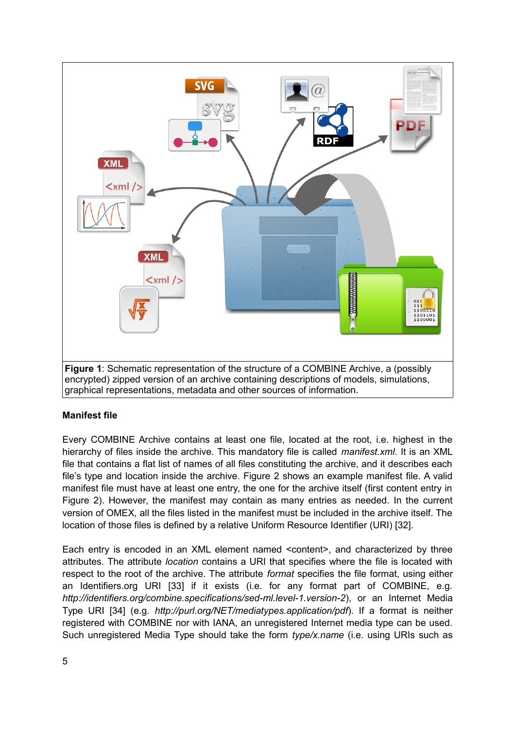

# **Manifest file**

Every COMBINE Archive contains at least one file, located at the root, i.e. highest in the hierarchy of files inside the archive. This mandatory file is called *manifest.xml*. It is an XML file that contains a flat list of names of all files constituting the archive, and it describes each file's type and location inside the archive. Figure 2 shows an example manifest file. A valid manifest file must have at least one entry, the one for the archive itself (first content entry in Figure 2). However, the manifest may contain as many entries as needed. In the current version of OMEX, all the files listed in the manifest must be included in the archive itself. The location of those files is defined by a relative Uniform Resource Identifier (URI) [32].

Each entry is encoded in an XML element named <content>, and characterized by three attributes. The attribute *location* contains a URI that specifies where the file is located with respect to the root of the archive. The attribute *format* specifies the file format, using either an Identifiers.org URI [33] if it exists (i.e. for any format part of COMBINE, e.g. *http://identifiers.org/combine.specifications/sed-ml.level-1.version-2*), or an Internet Media Type URI [34] (e.g. *http://purl.org/NET/mediatypes.application/pdf*). If a format is neither registered with COMBINE nor with IANA, an unregistered Internet media type can be used. Such unregistered Media Type should take the form *type/x.name* (i.e. using URIs such as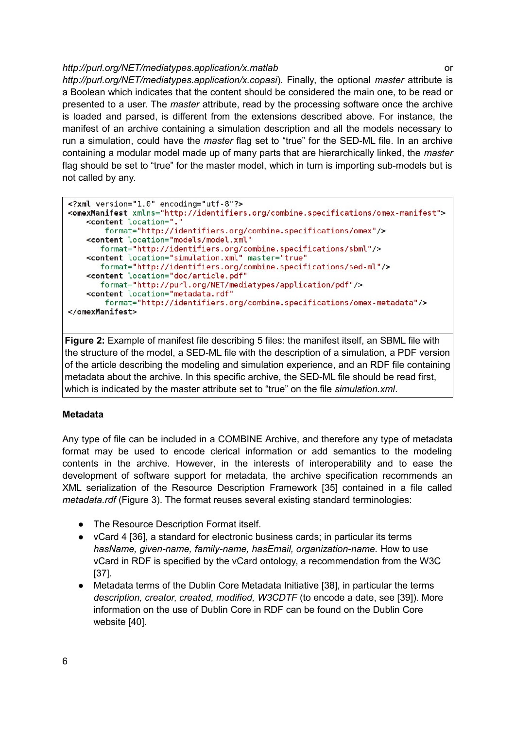### *http://purl.org/NET/mediatypes.application/x.matlab* or

*http://purl.org/NET/mediatypes.application/x.copasi*). Finally, the optional *master* attribute is a Boolean which indicates that the content should be considered the main one, to be read or presented to a user. The *master* attribute, read by the processing software once the archive is loaded and parsed, is different from the extensions described above. For instance, the manifest of an archive containing a simulation description and all the models necessary to run a simulation, could have the *master* flag set to "true" for the SED-ML file. In an archive containing a modular model made up of many parts that are hierarchically linked, the *master* flag should be set to "true" for the master model, which in turn is importing sub-models but is not called by any.

```
<?xml version="1.0" encoding="utf-8"?>
<omexManifest xmlns="http://identifiers.org/combine.specifications/omex-manifest">
   <content location=".
        format="http://identifiers.org/combine.specifications/omex"/>
   <content location="models/model.xml"
      format="http://identifiers.org/combine.specifications/sbml"/>
   <content location="simulation.xml" master="true"
       format="http://identifiers.org/combine.specifications/sed-ml"/>
   <content location="doc/article.pdf"
       format="http://purl.org/NET/mediatypes/application/pdf"/>
    <content location="metadata.rdf"
        format="http://identifiers.org/combine.specifications/omex-metadata"/>
</omexManifest>
```
**Figure 2:** Example of manifest file describing 5 files: the manifest itself, an SBML file with the structure of the model, a SED-ML file with the description of a simulation, a PDF version of the article describing the modeling and simulation experience, and an RDF file containing metadata about the archive. In this specific archive, the SED-ML file should be read first, which is indicated by the master attribute set to "true" on the file *simulation.xml*.

# **Metadata**

Any type of file can be included in a COMBINE Archive, and therefore any type of metadata format may be used to encode clerical information or add semantics to the modeling contents in the archive. However, in the interests of interoperability and to ease the development of software support for metadata, the archive specification recommends an XML serialization of the Resource Description Framework [35] contained in a file called *metadata.rdf* (Figure 3). The format reuses several existing standard terminologies:

- The Resource Description Format itself.
- vCard 4 [36], a standard for electronic business cards; in particular its terms *hasName, given-name, family-name, hasEmail, organization-name.* How to use vCard in RDF is specified by the vCard ontology, a recommendation from the W3C [37].
- Metadata terms of the Dublin Core Metadata Initiative [38], in particular the terms *description, creator, created, modified, W3CDTF* (to encode a date, see [39]). More information on the use of Dublin Core in RDF can be found on the Dublin Core website [40].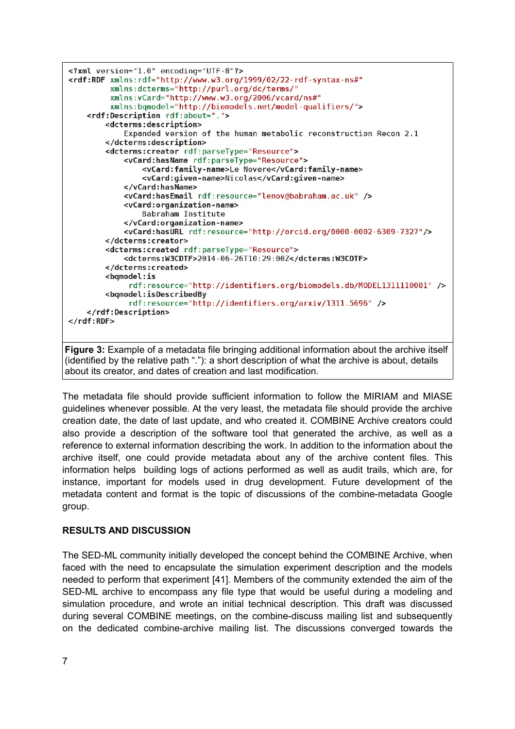```
<?xml version="1.0" encoding="UTF-8"?>
<rdf:RDF xmlns:rdf="http://www.w3.org/1999/02/22-rdf-syntax-ns#"
         xmlns:dcterms="http://purl.org/dc/terms/"
         xmlns:vCard="http://www.w3.org/2006/vcard/ns#"
         xmlns:bqmodel="http://biomodels.net/model-qualifiers/">
    <rdf:Description rdf:about=".">
        <dcterms:description>
            Expanded version of the human metabolic reconstruction Recon 2.1
        </dcterms:description>
        <dcterms: creator rdf: parseType="Resource">
            <vCard:hasName rdf:parseType="Resource">
                <vCard:family-name>Le Novere</vCard:family-name>
                <vCard:given-name>Nicolas</vCard:given-name>
            </vCard:hasName>
            <vCard:hasEmail rdf:resource="lenov@babraham.ac.uk" />
            <vCard:organization-name>
                Babraham Institute
            </vCard:organization-name>
            <vCard:hasURL rdf:resource="http://orcid.org/0000-0002-6309-7327"/>
        </dcterms:creator>
        <dcterms:created rdf:parseType="Resource">
            <dcterms:W3CDTF>2014-06-26T10:29:00Z</dcterms:W3CDTF>
        </dcterms:created>
        <bamodel:is
             rdf:resource="http://identifiers.org/biomodels.db/MODEL1311110001" />
        <bamodel:isDescribedBv
             rdf:resource="http://identifiers.org/arxiv/1311.5696" />
    </rdf:Description>
\frac{1}{2} /rdf:RDF>
```
**Figure 3:** Example of a metadata file bringing additional information about the archive itself (identified by the relative path "."): a short description of what the archive is about, details about its creator, and dates of creation and last modification.

The metadata file should provide sufficient information to follow the MIRIAM and MIASE guidelines whenever possible. At the very least, the metadata file should provide the archive creation date, the date of last update, and who created it. COMBINE Archive creators could also provide a description of the software tool that generated the archive, as well as a reference to external information describing the work. In addition to the information about the archive itself, one could provide metadata about any of the archive content files. This information helps building logs of actions performed as well as audit trails, which are, for instance, important for models used in drug development. Future development of the metadata content and format is the topic of discussions of the combine-metadata Google group.

### **RESULTS AND DISCUSSION**

The SED-ML community initially developed the concept behind the COMBINE Archive, when faced with the need to encapsulate the simulation experiment description and the models needed to perform that experiment [41]. Members of the community extended the aim of the SED-ML archive to encompass any file type that would be useful during a modeling and simulation procedure, and wrote an initial technical description. This draft was discussed during several COMBINE meetings, on the combine-discuss mailing list and subsequently on the dedicated combine-archive mailing list. The discussions converged towards the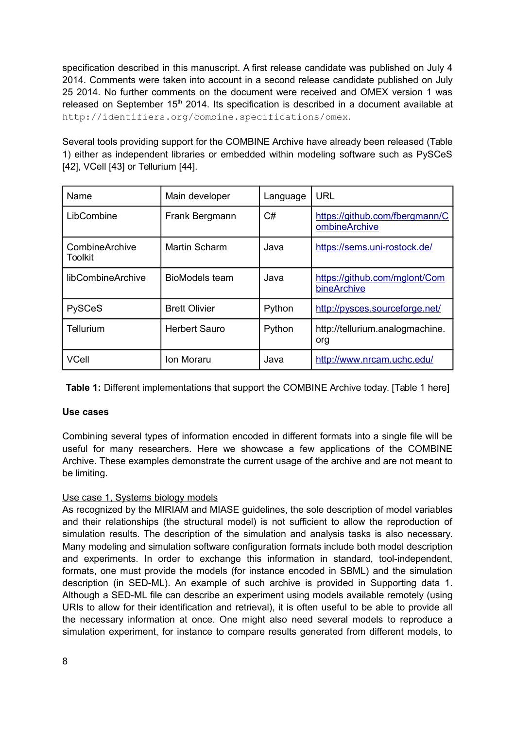specification described in this manuscript. A first release candidate was published on July 4 2014. Comments were taken into account in a second release candidate published on July 25 2014. No further comments on the document were received and OMEX version 1 was released on September 15<sup>th</sup> 2014. Its specification is described in a document available at http://identifiers.org/combine.specifications/omex.

Several tools providing support for the COMBINE Archive have already been released (Table 1) either as independent libraries or embedded within modeling software such as PySCeS [42], VCell [43] or Tellurium [44].

| Name                      | Main developer       | Language | <b>URL</b>                                      |
|---------------------------|----------------------|----------|-------------------------------------------------|
| LibCombine                | Frank Bergmann       | C#       | https://github.com/fbergmann/C<br>ombineArchive |
| CombineArchive<br>Toolkit | Martin Scharm        | Java     | https://sems.uni-rostock.de/                    |
| <b>libCombineArchive</b>  | BioModels team       | Java     | https://github.com/mglont/Com<br>bineArchive    |
| <b>PySCeS</b>             | <b>Brett Olivier</b> | Python   | http://pysces.sourceforge.net/                  |
| Tellurium                 | <b>Herbert Sauro</b> | Python   | http://tellurium.analogmachine.<br>org          |
| VCell                     | Ion Moraru           | Java     | http://www.nrcam.uchc.edu/                      |

**Table 1:** Different implementations that support the COMBINE Archive today. [Table 1 here]

### **Use cases**

Combining several types of information encoded in different formats into a single file will be useful for many researchers. Here we showcase a few applications of the COMBINE Archive. These examples demonstrate the current usage of the archive and are not meant to be limiting.

# Use case 1, Systems biology models

As recognized by the MIRIAM and MIASE guidelines, the sole description of model variables and their relationships (the structural model) is not sufficient to allow the reproduction of simulation results. The description of the simulation and analysis tasks is also necessary. Many modeling and simulation software configuration formats include both model description and experiments. In order to exchange this information in standard, tool-independent, formats, one must provide the models (for instance encoded in SBML) and the simulation description (in SED-ML). An example of such archive is provided in Supporting data 1. Although a SED-ML file can describe an experiment using models available remotely (using URIs to allow for their identification and retrieval), it is often useful to be able to provide all the necessary information at once. One might also need several models to reproduce a simulation experiment, for instance to compare results generated from different models, to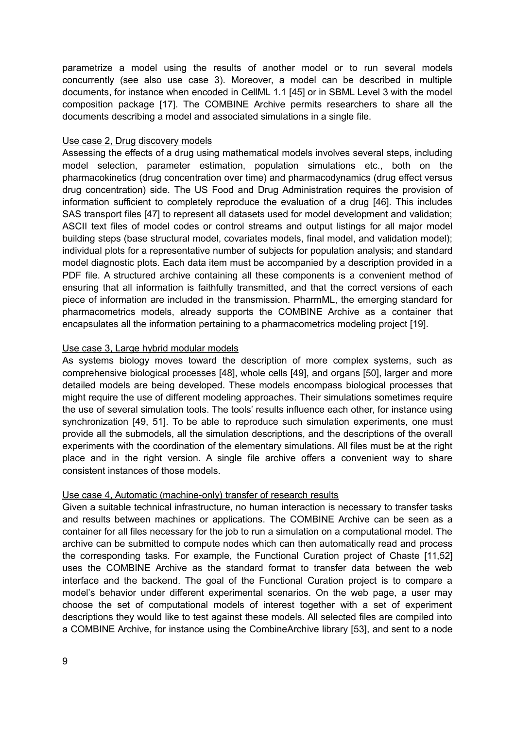parametrize a model using the results of another model or to run several models concurrently (see also use case 3). Moreover, a model can be described in multiple documents, for instance when encoded in CellML 1.1 [45] or in SBML Level 3 with the model composition package [17]. The COMBINE Archive permits researchers to share all the documents describing a model and associated simulations in a single file.

### Use case 2, Drug discovery models

Assessing the effects of a drug using mathematical models involves several steps, including model selection, parameter estimation, population simulations etc., both on the pharmacokinetics (drug concentration over time) and pharmacodynamics (drug effect versus drug concentration) side. The US Food and Drug Administration requires the provision of information sufficient to completely reproduce the evaluation of a drug [46]. This includes SAS transport files [47] to represent all datasets used for model development and validation; ASCII text files of model codes or control streams and output listings for all major model building steps (base structural model, covariates models, final model, and validation model); individual plots for a representative number of subjects for population analysis; and standard model diagnostic plots. Each data item must be accompanied by a description provided in a PDF file. A structured archive containing all these components is a convenient method of ensuring that all information is faithfully transmitted, and that the correct versions of each piece of information are included in the transmission. PharmML, the emerging standard for pharmacometrics models, already supports the COMBINE Archive as a container that encapsulates all the information pertaining to a pharmacometrics modeling project [19].

### Use case 3, Large hybrid modular models

As systems biology moves toward the description of more complex systems, such as comprehensive biological processes [48], whole cells [49], and organs [50], larger and more detailed models are being developed. These models encompass biological processes that might require the use of different modeling approaches. Their simulations sometimes require the use of several simulation tools. The tools' results influence each other, for instance using synchronization [49, 51]. To be able to reproduce such simulation experiments, one must provide all the submodels, all the simulation descriptions, and the descriptions of the overall experiments with the coordination of the elementary simulations. All files must be at the right place and in the right version. A single file archive offers a convenient way to share consistent instances of those models.

### Use case 4, Automatic (machine-only) transfer of research results

Given a suitable technical infrastructure, no human interaction is necessary to transfer tasks and results between machines or applications. The COMBINE Archive can be seen as a container for all files necessary for the job to run a simulation on a computational model. The archive can be submitted to compute nodes which can then automatically read and process the corresponding tasks. For example, the Functional Curation project of Chaste [11,52] uses the COMBINE Archive as the standard format to transfer data between the web interface and the backend. The goal of the Functional Curation project is to compare a model's behavior under different experimental scenarios. On the web page, a user may choose the set of computational models of interest together with a set of experiment descriptions they would like to test against these models. All selected files are compiled into a COMBINE Archive, for instance using the CombineArchive library [53], and sent to a node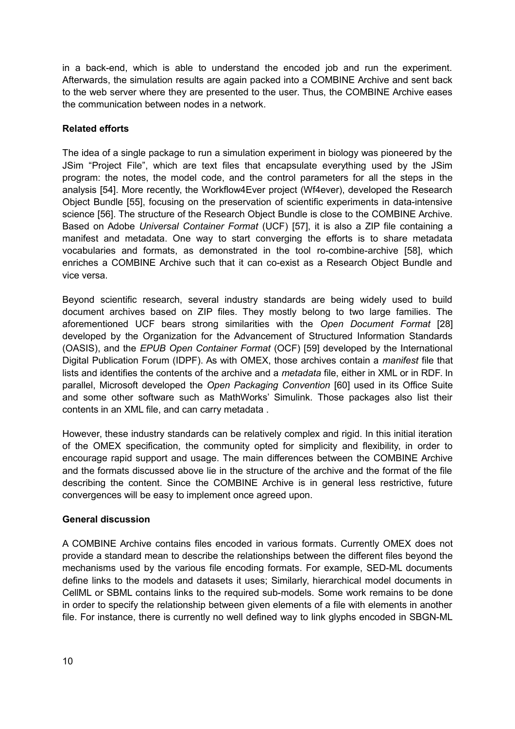in a back-end, which is able to understand the encoded job and run the experiment. Afterwards, the simulation results are again packed into a COMBINE Archive and sent back to the web server where they are presented to the user. Thus, the COMBINE Archive eases the communication between nodes in a network.

# **Related efforts**

The idea of a single package to run a simulation experiment in biology was pioneered by the JSim "Project File", which are text files that encapsulate everything used by the JSim program: the notes, the model code, and the control parameters for all the steps in the analysis [54]. More recently, the Workflow4Ever project (Wf4ever), developed the Research Object Bundle [55], focusing on the preservation of scientific experiments in data-intensive science [56]. The structure of the Research Object Bundle is close to the COMBINE Archive. Based on Adobe *Universal Container Format* (UCF) [57], it is also a ZIP file containing a manifest and metadata. One way to start converging the efforts is to share metadata vocabularies and formats, as demonstrated in the tool ro-combine-archive [58], which enriches a COMBINE Archive such that it can co-exist as a Research Object Bundle and vice versa.

Beyond scientific research, several industry standards are being widely used to build document archives based on ZIP files. They mostly belong to two large families. The aforementioned UCF bears strong similarities with the *Open Document Format* [28] developed by the Organization for the Advancement of Structured Information Standards (OASIS), and the *EPUB Open Container Format* (OCF) [59] developed by the International Digital Publication Forum (IDPF). As with OMEX, those archives contain a *manifest* file that lists and identifies the contents of the archive and a *metadata* file, either in XML or in RDF. In parallel, Microsoft developed the *Open Packaging Convention* [60] used in its Office Suite and some other software such as MathWorks' Simulink. Those packages also list their contents in an XML file, and can carry metadata .

However, these industry standards can be relatively complex and rigid. In this initial iteration of the OMEX specification, the community opted for simplicity and flexibility, in order to encourage rapid support and usage. The main differences between the COMBINE Archive and the formats discussed above lie in the structure of the archive and the format of the file describing the content. Since the COMBINE Archive is in general less restrictive, future convergences will be easy to implement once agreed upon.

# **General discussion**

A COMBINE Archive contains files encoded in various formats. Currently OMEX does not provide a standard mean to describe the relationships between the different files beyond the mechanisms used by the various file encoding formats. For example, SED-ML documents define links to the models and datasets it uses; Similarly, hierarchical model documents in CellML or SBML contains links to the required sub-models. Some work remains to be done in order to specify the relationship between given elements of a file with elements in another file. For instance, there is currently no well defined way to link glyphs encoded in SBGN-ML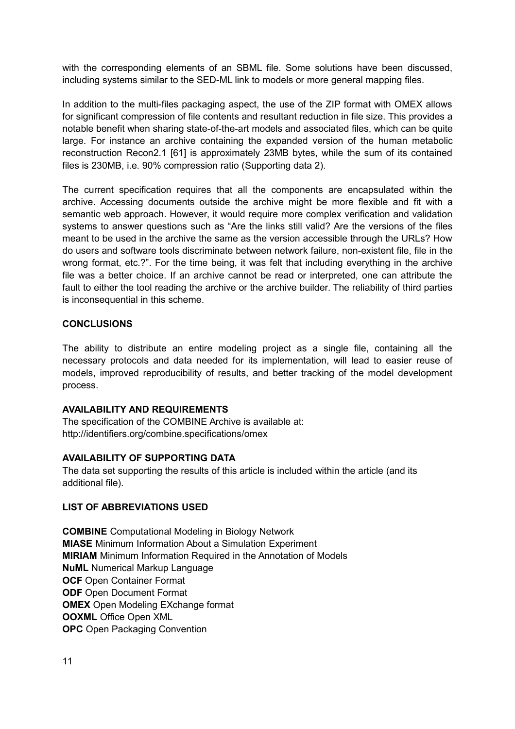with the corresponding elements of an SBML file. Some solutions have been discussed, including systems similar to the SED-ML link to models or more general mapping files.

In addition to the multi-files packaging aspect, the use of the ZIP format with OMEX allows for significant compression of file contents and resultant reduction in file size. This provides a notable benefit when sharing state-of-the-art models and associated files, which can be quite large. For instance an archive containing the expanded version of the human metabolic reconstruction Recon2.1 [61] is approximately 23MB bytes, while the sum of its contained files is 230MB, i.e. 90% compression ratio (Supporting data 2).

The current specification requires that all the components are encapsulated within the archive. Accessing documents outside the archive might be more flexible and fit with a semantic web approach. However, it would require more complex verification and validation systems to answer questions such as "Are the links still valid? Are the versions of the files meant to be used in the archive the same as the version accessible through the URLs? How do users and software tools discriminate between network failure, non-existent file, file in the wrong format, etc.?". For the time being, it was felt that including everything in the archive file was a better choice. If an archive cannot be read or interpreted, one can attribute the fault to either the tool reading the archive or the archive builder. The reliability of third parties is inconsequential in this scheme.

## **CONCLUSIONS**

The ability to distribute an entire modeling project as a single file, containing all the necessary protocols and data needed for its implementation, will lead to easier reuse of models, improved reproducibility of results, and better tracking of the model development process.

### **AVAILABILITY AND REQUIREMENTS**

The specification of the COMBINE Archive is available at: http://identifiers.org/combine.specifications/omex

### **AVAILABILITY OF SUPPORTING DATA**

The data set supporting the results of this article is included within the article (and its additional file).

# **LIST OF ABBREVIATIONS USED**

**COMBINE** Computational Modeling in Biology Network **MIASE** Minimum Information About a Simulation Experiment **MIRIAM** Minimum Information Required in the Annotation of Models **NuML** Numerical Markup Language **OCF** Open Container Format **ODF** Open Document Format **OMEX** Open Modeling EXchange format **OOXML** Office Open XML **OPC** Open Packaging Convention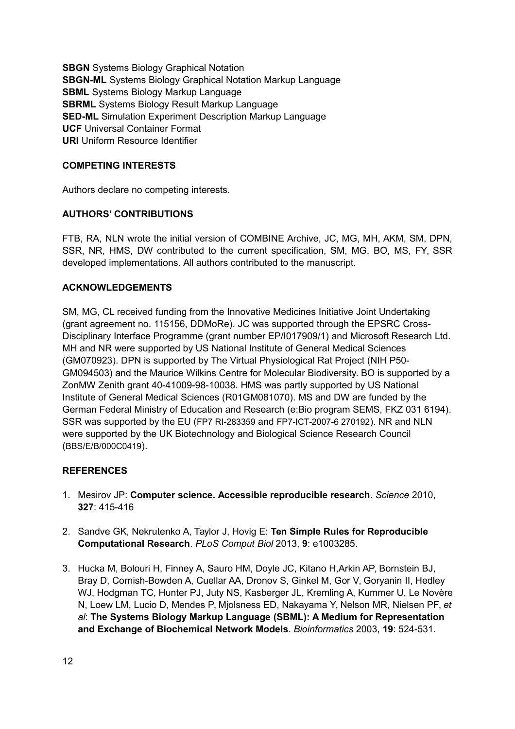**SBGN** Systems Biology Graphical Notation **SBGN-ML** Systems Biology Graphical Notation Markup Language **SBML** Systems Biology Markup Language **SBRML** Systems Biology Result Markup Language **SED-ML** Simulation Experiment Description Markup Language **UCF** Universal Container Format **URI** Uniform Resource Identifier

# **COMPETING INTERESTS**

Authors declare no competing interests.

## **AUTHORS' CONTRIBUTIONS**

FTB, RA, NLN wrote the initial version of COMBINE Archive, JC, MG, MH, AKM, SM, DPN, SSR, NR, HMS, DW contributed to the current specification, SM, MG, BO, MS, FY, SSR developed implementations. All authors contributed to the manuscript.

## **ACKNOWLEDGEMENTS**

SM, MG, CL received funding from the Innovative Medicines Initiative Joint Undertaking (grant agreement no. 115156, DDMoRe). JC was supported through the EPSRC Cross-Disciplinary Interface Programme (grant number EP/I017909/1) and Microsoft Research Ltd. MH and NR were supported by US National Institute of General Medical Sciences (GM070923). DPN is supported by The Virtual Physiological Rat Project (NIH P50- GM094503) and the Maurice Wilkins Centre for Molecular Biodiversity. BO is supported by a ZonMW Zenith grant 40-41009-98-10038. HMS was partly supported by US National Institute of General Medical Sciences (R01GM081070). MS and DW are funded by the German Federal Ministry of Education and Research (e:Bio program SEMS, FKZ 031 6194). SSR was supported by the EU (FP7 RI-283359 and FP7-ICT-2007-6 270192). NR and NLN were supported by the UK Biotechnology and Biological Science Research Council (BBS/E/B/000C0419).

### **REFERENCES**

- 1. Mesirov JP: **Computer science. Accessible reproducible research**. *Science* 2010, **327**: 415-416
- 2. Sandve GK, Nekrutenko A, Taylor J, Hovig E: **Ten Simple Rules for Reproducible Computational Research**. *PLoS Comput Biol* 2013, **9**: e1003285.
- 3. Hucka M, Bolouri H, Finney A, Sauro HM, Doyle JC, Kitano H,Arkin AP, Bornstein BJ, Bray D, Cornish-Bowden A, Cuellar AA, Dronov S, Ginkel M, Gor V, Goryanin II, Hedley WJ, Hodgman TC, Hunter PJ, Juty NS, Kasberger JL, Kremling A, Kummer U, Le Novère N, Loew LM, Lucio D, Mendes P, Mjolsness ED, Nakayama Y, Nelson MR, Nielsen PF, *et al*: **The Systems Biology Markup Language (SBML): A Medium for Representation and Exchange of Biochemical Network Models**. *Bioinformatics* 2003, **19**: 524-531.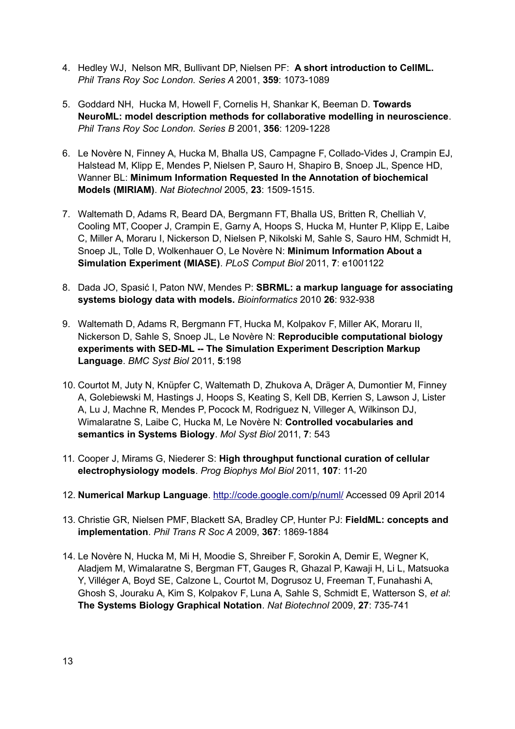- 4. Hedley WJ, Nelson MR, Bullivant DP, Nielsen PF: **A short introduction to CellML.** *Phil Trans Roy Soc London. Series A* 2001, **359**: 1073-1089
- 5. Goddard NH, Hucka M, Howell F, Cornelis H, Shankar K, Beeman D. **Towards NeuroML: model description methods for collaborative modelling in neuroscience**. *Phil Trans Roy Soc London. Series B* 2001, **356**: 1209-1228
- 6. Le Novère N, Finney A, Hucka M, Bhalla US, Campagne F, Collado-Vides J, Crampin EJ, Halstead M, Klipp E, Mendes P, Nielsen P, Sauro H, Shapiro B, Snoep JL, Spence HD, Wanner BL: **Minimum Information Requested In the Annotation of biochemical Models (MIRIAM)**. *Nat Biotechnol* 2005, **23**: 1509-1515.
- 7. Waltemath D, Adams R, Beard DA, Bergmann FT, Bhalla US, Britten R, Chelliah V, Cooling MT, Cooper J, Crampin E, Garny A, Hoops S, Hucka M, Hunter P, Klipp E, Laibe C, Miller A, Moraru I, Nickerson D, Nielsen P, Nikolski M, Sahle S, Sauro HM, Schmidt H, Snoep JL, Tolle D, Wolkenhauer O, Le Novère N: **Minimum Information About a Simulation Experiment (MIASE)**. *PLoS Comput Biol* 2011, **7**: e1001122
- 8. Dada JO, Spasić I, Paton NW, Mendes P: **SBRML: a markup language for associating systems biology data with models.** *Bioinformatics* 2010 **26**: 932-938
- 9. Waltemath D, Adams R, Bergmann FT, Hucka M, Kolpakov F, Miller AK, Moraru II, Nickerson D, Sahle S, Snoep JL, Le Novère N: **Reproducible computational biology experiments with SED-ML -- The Simulation Experiment Description Markup Language**. *BMC Syst Biol* 2011, **5**:198
- 10. Courtot M, Juty N, Knüpfer C, Waltemath D, Zhukova A, Dräger A, Dumontier M, Finney A, Golebiewski M, Hastings J, Hoops S, Keating S, Kell DB, Kerrien S, Lawson J, Lister A, Lu J, Machne R, Mendes P, Pocock M, Rodriguez N, Villeger A, Wilkinson DJ, Wimalaratne S, Laibe C, Hucka M, Le Novère N: **Controlled vocabularies and semantics in Systems Biology**. *Mol Syst Biol* 2011, **7**: 543
- 11. Cooper J, Mirams G, Niederer S: **High throughput functional curation of cellular electrophysiology models**. *Prog Biophys Mol Biol* 2011, **107**: 11-20
- 12. **Numerical Markup Language**. [http :// code. google. com/ p/ numl/](http://code.google.com/p/numl/) Accessed 09 April 2014
- 13. Christie GR, Nielsen PMF, Blackett SA, Bradley CP, Hunter PJ: **FieldML: concepts and implementation**. *Phil Trans R Soc A* 2009, **367**: 1869-1884
- 14. Le Novère N, Hucka M, Mi H, Moodie S, Shreiber F, Sorokin A, Demir E, Wegner K, Aladjem M, Wimalaratne S, Bergman FT, Gauges R, Ghazal P, Kawaji H, Li L, Matsuoka Y, Villéger A, Boyd SE, Calzone L, Courtot M, Dogrusoz U, Freeman T, Funahashi A, Ghosh S, Jouraku A, Kim S, Kolpakov F, Luna A, Sahle S, Schmidt E, Watterson S, *et al*: **The Systems Biology Graphical Notation**. *Nat Biotechnol* 2009, **27**: 735-741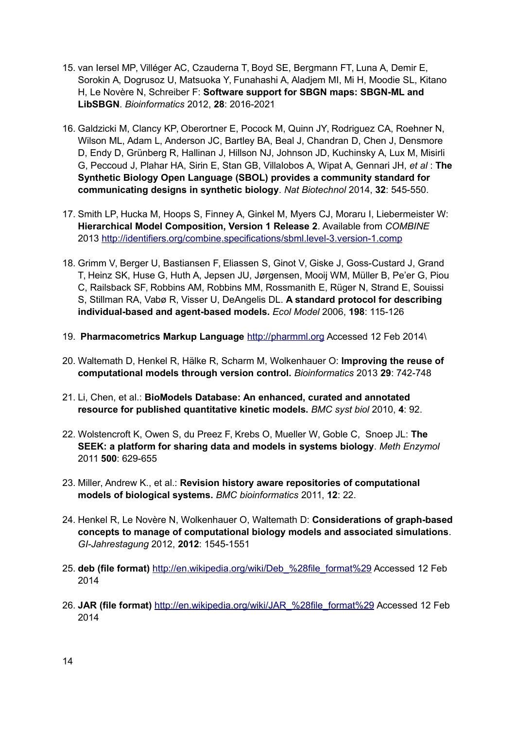- 15. van Iersel MP, Villéger AC, Czauderna T, Boyd SE, Bergmann FT, Luna A, Demir E, Sorokin A, Dogrusoz U, Matsuoka Y, Funahashi A, Aladjem MI, Mi H, Moodie SL, Kitano H, Le Novère N, Schreiber F: **Software support for SBGN maps: SBGN-ML and LibSBGN**. *Bioinformatics* 2012, **28**: 2016-2021
- 16. Galdzicki M, Clancy KP, Oberortner E, Pocock M, Quinn JY, Rodriguez CA, Roehner N, Wilson ML, Adam L, Anderson JC, Bartley BA, Beal J, Chandran D, Chen J, Densmore D, Endy D, Grünberg R, Hallinan J, Hillson NJ, Johnson JD, Kuchinsky A, Lux M, Misirli G, Peccoud J, Plahar HA, Sirin E, Stan GB, Villalobos A, Wipat A, Gennari JH, *et al* : **The Synthetic Biology Open Language (SBOL) provides a community standard for communicating designs in synthetic biology**. *Nat Biotechnol* 2014, **32**: 545-550.
- 17. Smith LP, Hucka M, Hoops S, Finney A, Ginkel M, Myers CJ, Moraru I, Liebermeister W: **Hierarchical Model Composition, Version 1 Release 2**. Available from *COMBINE*  2013 [http :// identifiers. org/ combine. specifications/ sbml. level -3. version -1.comp](http://identifiers.org/combine.specifications/sbml.level-3.version-1.comp.version-1.release-2)
- 18. Grimm V, Berger U, Bastiansen F, Eliassen S, Ginot V, Giske J, Goss-Custard J, Grand T, Heinz SK, Huse G, Huth A, Jepsen JU, Jørgensen, Mooij WM, Müller B, Pe'er G, Piou C, Railsback SF, Robbins AM, Robbins MM, Rossmanith E, Rüger N, Strand E, Souissi S, Stillman RA, Vabø R, Visser U, DeAngelis DL. **A standard protocol for describing individual-based and agent-based models.** *Ecol Model* 2006, **198**: 115-126
- 19. **Pharmacometrics Markup Language** [http :// pharmml.org](http://pharmml.org/) Accessed 12 Feb 2014\
- 20. Waltemath D, Henkel R, Hälke R, Scharm M, Wolkenhauer O: **Improving the reuse of computational models through version control.** *Bioinformatics* 2013 **29**: 742-748
- 21. Li, Chen, et al.: **BioModels Database: An enhanced, curated and annotated resource for published quantitative kinetic models.** *BMC syst biol* 2010, **4**: 92.
- 22. Wolstencroft K, Owen S, du Preez F, Krebs O, Mueller W, Goble C, Snoep JL: **The SEEK: a platform for sharing data and models in systems biology**. *Meth Enzymol* 2011 **500**: 629-655
- 23. Miller, Andrew K., et al.: **Revision history aware repositories of computational models of biological systems.** *BMC bioinformatics* 2011, **12**: 22.
- 24. Henkel R, Le Novère N, Wolkenhauer O, Waltemath D: **Considerations of graph-based concepts to manage of computational biology models and associated simulations**. *GI-Jahrestagung* 2012, **2012**: 1545-1551
- 25. **deb (file format)** http://en.wikipedia.org/wiki/Deb %28 file format%29 Accessed 12 Feb 2014
- 26. **JAR (file format)** http://en.wikipedia.org/wiki/JAR %28 file format%29 Accessed 12 Feb 2014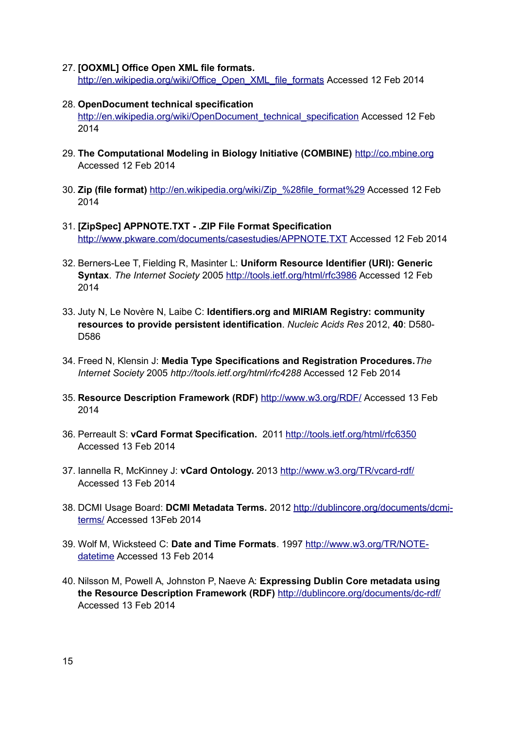#### 27. **[OOXML] Office Open XML file formats.**

http://en.wikipedia.org/wiki/Office\_Open\_XML\_file\_formats Accessed 12 Feb 2014

- 28. **OpenDocument technical specification**  http://en.wikipedia.org/wiki/OpenDocument\_technical\_specification Accessed 12 Feb 2014
- 29. **The Computational Modeling in Biology Initiative (COMBINE)** [http :// co. mbine.org](http://co.mbine.org/) Accessed 12 Feb 2014
- 30. Zip (file format) http://en.wikipedia.org/wiki/Zip %28 file format%29 Accessed 12 Feb 2014
- 31. **[ZipSpec] APPNOTE.TXT .ZIP File Format Specification** http://www.pkware.com/documents/casestudies/APPNOTE.TXT Accessed 12 Feb 2014
- 32. Berners-Lee T, Fielding R, Masinter L: **Uniform Resource Identifier (URI): Generic Syntax**. The Internet Society 2005 http://tools.ietf.org/html/rfc3986 Accessed 12 Feb 2014
- 33. Juty N, Le Novère N, Laibe C: **Identifiers.org and MIRIAM Registry: community resources to provide persistent identification**. *Nucleic Acids Res* 2012, **40**: D580- D586
- 34. Freed N, Klensin J: **Media Type Specifications and Registration Procedures.***The Internet Society* 2005 *http://tools.ietf.org/html/rfc4288* Accessed 12 Feb 2014
- 35. **Resource Description Framework (RDF)** [http :// www. w 3. org/ RDF/](http://www.w3.org/RDF/) Accessed 13 Feb 2014
- 36. Perreault S: **vCard Format Specification.** 2011 [http :// tools. ietf. org/ html/ rfc6350](http://tools.ietf.org/html/rfc6350) Accessed 13 Feb 2014
- 37. Iannella R, McKinney J: **vCard Ontology.** 2013 [http :// www. w 3. org/ TR/ vcard rdf/](http://www.w3.org/TR/vcard-rdf/) Accessed 13 Feb 2014
- 38. DCMI Usage Board: **DCMI Metadata Terms.** 2012 [http :// dublincore. org/ documents/ dcmi](http://dublincore.org/documents/dcmi-terms/)  [terms/](http://dublincore.org/documents/dcmi-terms/) Accessed 13Feb 2014
- 39. Wolf M, Wicksteed C: **Date and Time Formats**. 1997 [http :// www. w 3. org/ TR/ NOTE](http://www.w3.org/TR/NOTE-datetime)[datetime](http://www.w3.org/TR/NOTE-datetime) Accessed 13 Feb 2014
- 40. Nilsson M, Powell A, Johnston P, Naeve A: **Expressing Dublin Core metadata using the Resource Description Framework (RDF)** <http://dublincore.org/documents/dc-rdf/> Accessed 13 Feb 2014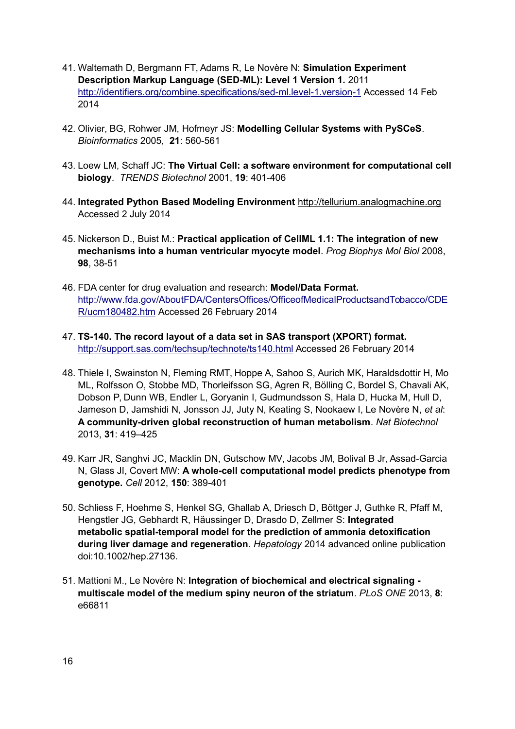- 41. Waltemath D, Bergmann FT, Adams R, Le Novère N: **Simulation Experiment Description Markup Language (SED-ML): Level 1 Version 1.** 2011 http://identifiers.org/combine.specifications/sed-ml.level-1.version-1 Accessed 14 Feb 2014
- 42. Olivier, BG, Rohwer JM, Hofmeyr JS: **Modelling Cellular Systems with PySCeS**. *Bioinformatics* 2005, **21**: 560-561
- 43. Loew LM, Schaff JC: **The Virtual Cell: a software environment for computational cell biology**. *TRENDS Biotechnol* 2001, **19**: 401-406
- 44. **Integrated Python Based Modeling Environment** [http://tellurium.analogmachine.org](http://tellurium.analogmachine.org/) Accessed 2 July 2014
- 45. Nickerson D., Buist M.: **Practical application of CellML 1.1: The integration of new mechanisms into a human ventricular myocyte model**. *Prog Biophys Mol Biol* 2008, **98**, 38-51
- 46. FDA center for drug evaluation and research: **Model/Data Format.**   [http :// www. fda. gov/ AboutFDA/ CentersOffices/ OfficeofMedicalProductsandTobacco/CDE](http://www.fda.gov/AboutFDA/CentersOffices/OfficeofMedicalProductsandTobacco/CDER/ucm180482.htm) R/ucm 180482.htm Accessed 26 February 2014
- 47. **TS-140. The record layout of a data set in SAS transport (XPORT) format.** http://support.sas.com/techsup/technote/ts140.html Accessed 26 February 2014
- 48. Thiele I, Swainston N, Fleming RMT, Hoppe A, Sahoo S, Aurich MK, Haraldsdottir H, Mo ML, Rolfsson O, Stobbe MD, Thorleifsson SG, Agren R, Bölling C, Bordel S, Chavali AK, Dobson P, Dunn WB, Endler L, Goryanin I, Gudmundsson S, Hala D, Hucka M, Hull D, Jameson D, Jamshidi N, Jonsson JJ, Juty N, Keating S, Nookaew I, Le Novère N, *et al*: **A community-driven global reconstruction of human metabolism**. *Nat Biotechnol* 2013, **31**: 419–425
- 49. Karr JR, Sanghvi JC, Macklin DN, Gutschow MV, Jacobs JM, Bolival B Jr, Assad-Garcia N, Glass JI, Covert MW: **A whole-cell computational model predicts phenotype from genotype.** *Cell* 2012, **150**: 389-401
- 50. Schliess F, Hoehme S, Henkel SG, Ghallab A, Driesch D, Böttger J, Guthke R, Pfaff M, Hengstler JG, Gebhardt R, Häussinger D, Drasdo D, Zellmer S: **Integrated metabolic spatial-temporal model for the prediction of ammonia detoxification during liver damage and regeneration**. *Hepatology* 2014 advanced online publication doi:10.1002/hep.27136.
- 51. Mattioni M., Le Novère N: **Integration of biochemical and electrical signaling multiscale model of the medium spiny neuron of the striatum**. *PLoS ONE* 2013, **8**: e66811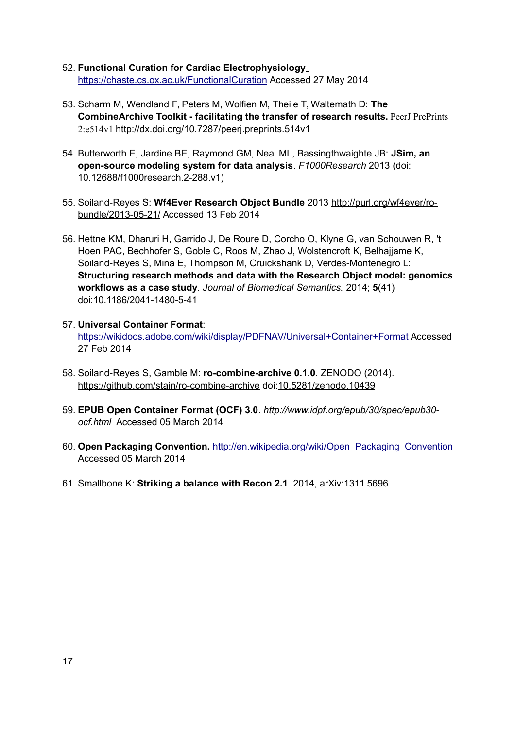- 52. **Functional Curation for Cardiac Electrophysiology** https://chaste.cs.ox.ac.uk/FunctionalCuration Accessed 27 May 2014
- 53. Scharm M, Wendland F, Peters M, Wolfien M, Theile T, Waltemath D: **The CombineArchive Toolkit - facilitating the transfer of research results.** PeerJ PrePrints 2:e514v1 <http://dx.doi.org/10.7287/peerj.preprints.514v1>
- 54. Butterworth E, Jardine BE, Raymond GM, Neal ML, Bassingthwaighte JB: **JSim, an open-source modeling system for data analysis**. *F1000Research* 2013 (doi: 10.12688/f1000research.2-288.v1)
- 55. Soiland-Reyes S: **Wf4Ever Research Object Bundle** 2013 [http://purl.org/wf4ever/ro](http://purl.org/wf4ever/ro-bundle/2013-05-21/)[bundle/2013-05-21/](http://purl.org/wf4ever/ro-bundle/2013-05-21/) Accessed 13 Feb 2014
- 56. Hettne KM, Dharuri H, Garrido J, De Roure D, Corcho O, Klyne G, van Schouwen R, 't Hoen PAC, Bechhofer S, Goble C, Roos M, Zhao J, Wolstencroft K, Belhajjame K, Soiland-Reyes S, Mina E, Thompson M, Cruickshank D, Verdes-Montenegro L: **Structuring research methods and data with the Research Object model: genomics workflows as a case study**. *Journal of Biomedical Semantics.* 2014; **5**(41) doi[:10.1186/2041-1480-5-41](http://dx.doi.org/10.1186/2041-1480-5-41)
- 57. **Universal Container Format**: https://wikidocs.adobe.com/wiki/display/PDFNAV/Universal+Container+Format Accessed 27 Feb 2014
- 58. Soiland-Reyes S, Gamble M: **ro-combine-archive 0.1.0**. ZENODO (2014). <https://github.com/stain/ro-combine-archive>doi[:10.5281/zenodo.10439](http://dx.doi.org/10.5281/zenodo.10439)
- 59. **EPUB Open Container Format (OCF) 3.0**. *http://www.idpf.org/epub/30/spec/epub30 ocf.html* Accessed 05 March 2014
- 60. **Open Packaging Convention.** [http :// en. wikipedia. org/ wiki/ Open \\_ Packaging \\_Convention](http://en.wikipedia.org/wiki/Open_Packaging_Convention) Accessed 05 March 2014
- 61. Smallbone K: **Striking a balance with Recon 2.1**. 2014, arXiv:1311.5696